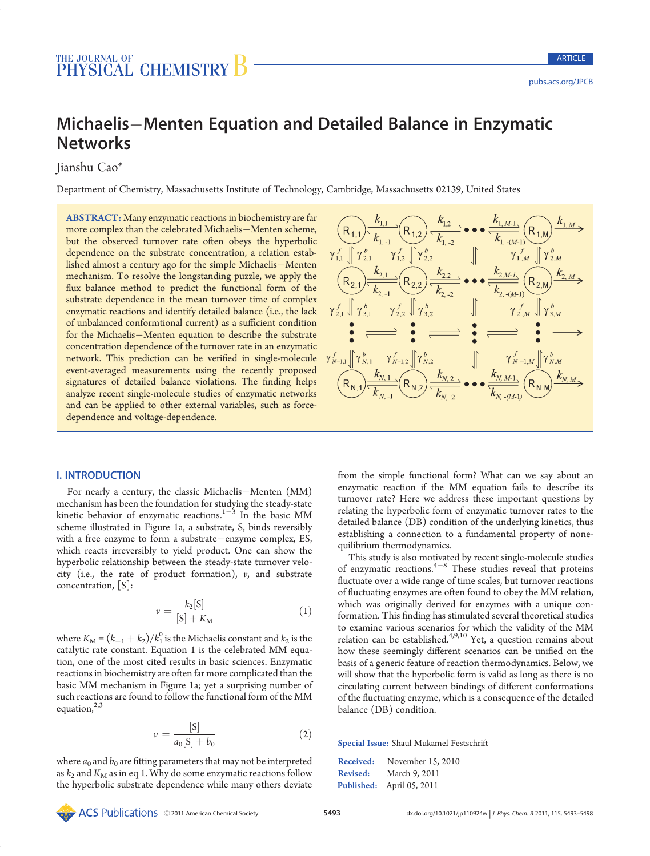# Michaelis-Menten Equation and Detailed Balance in Enzymatic **Networks**

Jianshu Cao\*

Department of Chemistry, Massachusetts Institute of Technology, Cambridge, Massachusetts 02139, United States

ABSTRACT: Many enzymatic reactions in biochemistry are far more complex than the celebrated Michaelis-Menten scheme, but the observed turnover rate often obeys the hyperbolic dependence on the substrate concentration, a relation established almost a century ago for the simple Michaelis-Menten mechanism. To resolve the longstanding puzzle, we apply the flux balance method to predict the functional form of the substrate dependence in the mean turnover time of complex enzymatic reactions and identify detailed balance (i.e., the lack of unbalanced conformtional current) as a sufficient condition for the Michaelis-Menten equation to describe the substrate concentration dependence of the turnover rate in an enzymatic network. This prediction can be verified in single-molecule event-averaged measurements using the recently proposed signatures of detailed balance violations. The finding helps analyze recent single-molecule studies of enzymatic networks and can be applied to other external variables, such as forcedependence and voltage-dependence.



# I. INTRODUCTION

For nearly a century, the classic Michaelis-Menten (MM) mechanism has been the foundation for studying the steady-state kinetic behavior of enzymatic reactions. $1-3$  In the basic MM scheme illustrated in Figure 1a, a substrate, S, binds reversibly with a free enzyme to form a substrate-enzyme complex,  $ES$ , which reacts irreversibly to yield product. One can show the hyperbolic relationship between the steady-state turnover velocity (i.e., the rate of product formation),  $v$ , and substrate concentration, [S]:

$$
\nu = \frac{k_2[S]}{[S] + K_M} \tag{1}
$$

where  $K_M = (k_{-1} + k_2)/k_1^0$  is the Michaelis constant and  $k_2$  is the catalytic rate constant. Equation 1 is the celebrated MM equation, one of the most cited results in basic sciences. Enzymatic reactions in biochemistry are often far more complicated than the basic MM mechanism in Figure 1a; yet a surprising number of such reactions are found to follow the functional form of the MM equation, $2,3$ 

$$
v = \frac{[S]}{a_0[S] + b_0} \tag{2}
$$

where  $a_0$  and  $b_0$  are fitting parameters that may not be interpreted as  $k_2$  and  $K_M$  as in eq 1. Why do some enzymatic reactions follow the hyperbolic substrate dependence while many others deviate

from the simple functional form? What can we say about an enzymatic reaction if the MM equation fails to describe its turnover rate? Here we address these important questions by relating the hyperbolic form of enzymatic turnover rates to the detailed balance (DB) condition of the underlying kinetics, thus establishing a connection to a fundamental property of nonequilibrium thermodynamics.

This study is also motivated by recent single-molecule studies of enzymatic reactions. $4-8$  These studies reveal that proteins fluctuate over a wide range of time scales, but turnover reactions of fluctuating enzymes are often found to obey the MM relation, which was originally derived for enzymes with a unique conformation. This finding has stimulated several theoretical studies to examine various scenarios for which the validity of the MM relation can be established.<sup>4,9,10</sup> Yet, a question remains about how these seemingly different scenarios can be unified on the basis of a generic feature of reaction thermodynamics. Below, we will show that the hyperbolic form is valid as long as there is no circulating current between bindings of different conformations of the fluctuating enzyme, which is a consequence of the detailed balance (DB) condition.

Special Issue: Shaul Mukamel Festschrift

| Received:       | November 15, 2010         |
|-----------------|---------------------------|
| <b>Revised:</b> | March 9, 2011             |
|                 | Published: April 05, 2011 |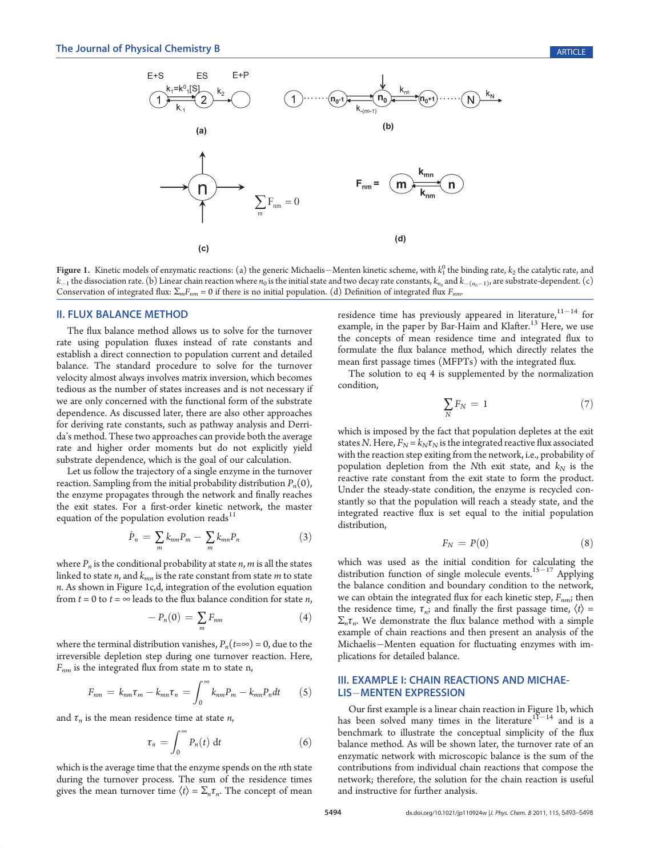

**Figure 1.** Kinetic models of enzymatic reactions: (a) the generic Michaelis—Menten kinetic scheme, with  $k_1^0$  the binding rate,  $k_2$  the catalytic rate, and  $k_{-1}$  the dissociation rate. (b) Linear chain reaction where  $n_0$  is the initial state and two decay rate constants,  $k_{n_0}$  and  $k_{-(n_0-1)}$ , are substrate-dependent. (c) Conservation of integrated flux:  $\Sigma_m F_{nm} = 0$  if there is no initial population. (d) Definition of integrated flux  $F_{nm}$ .

#### II. FLUX BALANCE METHOD

The flux balance method allows us to solve for the turnover rate using population fluxes instead of rate constants and establish a direct connection to population current and detailed balance. The standard procedure to solve for the turnover velocity almost always involves matrix inversion, which becomes tedious as the number of states increases and is not necessary if we are only concerned with the functional form of the substrate dependence. As discussed later, there are also other approaches for deriving rate constants, such as pathway analysis and Derrida's method. These two approaches can provide both the average rate and higher order moments but do not explicitly yield substrate dependence, which is the goal of our calculation.

Let us follow the trajectory of a single enzyme in the turnover reaction. Sampling from the initial probability distribution  $P_n(0)$ , the enzyme propagates through the network and finally reaches the exit states. For a first-order kinetic network, the master equation of the population evolution reads $11$ 

$$
\dot{P}_n = \sum_m k_{nm} P_m - \sum_m k_{mn} P_n \tag{3}
$$

where  $P_n$  is the conditional probability at state  $n, m$  is all the states linked to state *n*, and  $k_{mn}$  is the rate constant from state *m* to state n. As shown in Figure 1c,d, integration of the evolution equation from  $t = 0$  to  $t = \infty$  leads to the flux balance condition for state *n*,

$$
-P_n(0) = \sum_m F_{nm} \tag{4}
$$

where the terminal distribution vanishes,  $P_n(t=\infty) = 0$ , due to the irreversible depletion step during one turnover reaction. Here,  $F_{nm}$  is the integrated flux from state m to state n,

$$
F_{nm} = k_{nm} \tau_m - k_{mn} \tau_n = \int_0^\infty k_{nm} P_m - k_{mn} P_n dt \qquad (5)
$$

and  $\tau_n$  is the mean residence time at state *n*,

$$
\tau_n = \int_0^\infty P_n(t) \, \mathrm{d}t \tag{6}
$$

which is the average time that the enzyme spends on the nth state during the turnover process. The sum of the residence times gives the mean turnover time  $\langle t \rangle = \sum_n \tau_n$ . The concept of mean

residence time has previously appeared in literature,  $11-14$  for example, in the paper by Bar-Haim and Klafter.<sup>13</sup> Here, we use the concepts of mean residence time and integrated flux to formulate the flux balance method, which directly relates the mean first passage times (MFPTs) with the integrated flux.

The solution to eq 4 is supplemented by the normalization condition,

$$
\sum_{N} F_N = 1 \tag{7}
$$

which is imposed by the fact that population depletes at the exit states N. Here,  $F_N = k_N \tau_N$  is the integrated reactive flux associated with the reaction step exiting from the network, i.e., probability of population depletion from the Nth exit state, and  $k_N$  is the reactive rate constant from the exit state to form the product. Under the steady-state condition, the enzyme is recycled constantly so that the population will reach a steady state, and the integrated reactive flux is set equal to the initial population distribution,

$$
F_N = P(0) \tag{8}
$$

which was used as the initial condition for calculating the distribution function of single molecule events.<sup>15-17</sup> Applying the balance condition and boundary condition to the network, we can obtain the integrated flux for each kinetic step,  $F_{nm}$ ; then the residence time,  $\tau_{ni}$ ; and finally the first passage time,  $\langle t \rangle$  =  $\Sigma_n \tau_n$ . We demonstrate the flux balance method with a simple example of chain reactions and then present an analysis of the Michaelis-Menten equation for fluctuating enzymes with implications for detailed balance.

## III. EXAMPLE I: CHAIN REACTIONS AND MICHAE-**LIS-MENTEN EXPRESSION**

Our first example is a linear chain reaction in Figure 1b, which has been solved many times in the literature<sup>11-14</sup> and is a benchmark to illustrate the conceptual simplicity of the flux balance method. As will be shown later, the turnover rate of an enzymatic network with microscopic balance is the sum of the contributions from individual chain reactions that compose the network; therefore, the solution for the chain reaction is useful and instructive for further analysis.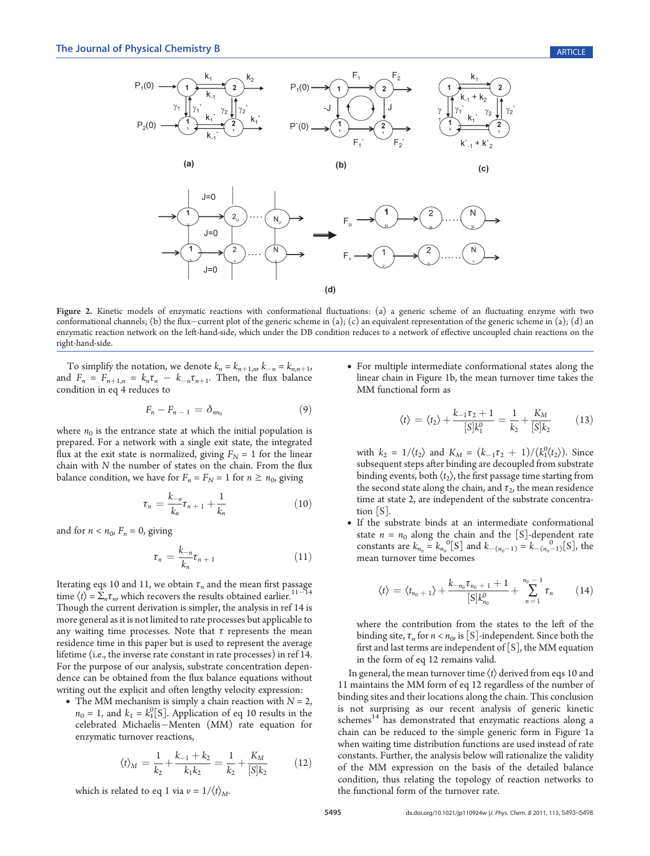

Figure 2. Kinetic models of enzymatic reactions with conformational fluctuations: (a) a generic scheme of an fluctuating enzyme with two conformational channels; (b) the flux-current plot of the generic scheme in (a); (c) an equivalent representation of the generic scheme in (a); (d) an enzymatic reaction network on the left-hand-side, which under the DB condition reduces to a network of effective uncoupled chain reactions on the right-hand-side.

To simplify the notation, we denote  $k_n = k_{n+1,n}$ ,  $k_{-n} = k_{n,n+1}$ , and  $F_n = F_{n+1,n} = k_n \tau_n - k_{-n} \tau_{n+1}$ . Then, the flux balance condition in eq 4 reduces to

$$
F_n-F_{n-1}=\delta_{nn_0}\tag{9}
$$

where  $n_0$  is the entrance state at which the initial population is prepared. For a network with a single exit state, the integrated flux at the exit state is normalized, giving  $F_N = 1$  for the linear chain with N the number of states on the chain. From the flux balance condition, we have for  $F_n = F_N = 1$  for  $n \ge n_0$ , giving

$$
\tau_n = \frac{k_{-n}}{k_n} \tau_{n+1} + \frac{1}{k_n} \tag{10}
$$

and for  $n < n_0$ ,  $F_n = 0$ , giving

$$
\tau_n = \frac{k_{-n}}{k_n} \tau_{n+1} \tag{11}
$$

Iterating eqs 10 and 11, we obtain  $\tau_n$  and the mean first passage time  $\langle t \rangle = \sum_n \tau_n$ , which recovers the results obtained earlier.<sup>11–14</sup> Though the current derivation is simpler, the analysis in ref 14 is more general as it is not limited to rate processes but applicable to any waiting time processes. Note that  $\tau$  represents the mean residence time in this paper but is used to represent the average lifetime (i.e., the inverse rate constant in rate processes) in ref 14. For the purpose of our analysis, substrate concentration dependence can be obtained from the flux balance equations without writing out the explicit and often lengthy velocity expression:

• The MM mechanism is simply a chain reaction with  $N = 2$ ,  $n_0 = 1$ , and  $k_1 = k_1^0[S]$ . Application of eq 10 results in the celebrated Michaelis-Menten (MM) rate equation for enzymatic turnover reactions,

$$
\langle t \rangle_M = \frac{1}{k_2} + \frac{k_{-1} + k_2}{k_1 k_2} = \frac{1}{k_2} + \frac{K_M}{[S] k_2} \tag{12}
$$

which is related to eq 1 via  $v = 1/\langle t \rangle_M$ .

• For multiple intermediate conformational states along the linear chain in Figure 1b, the mean turnover time takes the MM functional form as

$$
\langle t \rangle = \langle t_2 \rangle + \frac{k_{-1} \tau_2 + 1}{[S]k_1^0} = \frac{1}{k_2} + \frac{K_M}{[S]k_2} \tag{13}
$$

with  $k_2 = 1/\langle t_2 \rangle$  and  $K_M = (k_{-1}\tau_2 + 1)/(\frac{k_1}{\langle t_2 \rangle})$ . Since subsequent steps after binding are decoupled from substrate binding events, both  $\langle t_2 \rangle$ , the first passage time starting from the second state along the chain, and  $\tau_{2}$ , the mean residence time at state 2, are independent of the substrate concentration [S].

• If the substrate binds at an intermediate conformational state  $n = n_0$  along the chain and the [S]-dependent rate constants are  $k_{n_0} = k_{n_0}^0$ <sup>o</sup>[S] and  $k_{-(n_0-1)} = k_{-(n_0-1)}^0$ [S], the mean turnover time becomes

$$
\langle t \rangle = \langle t_{n_0+1} \rangle + \frac{k_{-n_0} \tau_{n_0+1} + 1}{[S]k_{n_0}^0} + \sum_{n=1}^{n_0-1} \tau_n \qquad (14)
$$

where the contribution from the states to the left of the binding site,  $\tau_n$  for  $n < n_0$ , is [S]-independent. Since both the first and last terms are independent of  $[S]$ , the MM equation in the form of eq 12 remains valid.

In general, the mean turnover time  $\langle t \rangle$  derived from eqs 10 and 11 maintains the MM form of eq 12 regardless of the number of binding sites and their locations along the chain. This conclusion is not surprising as our recent analysis of generic kinetic schemes<sup>14</sup> has demonstrated that enzymatic reactions along a chain can be reduced to the simple generic form in Figure 1a when waiting time distribution functions are used instead of rate constants. Further, the analysis below will rationalize the validity of the MM expression on the basis of the detailed balance condition, thus relating the topology of reaction networks to the functional form of the turnover rate.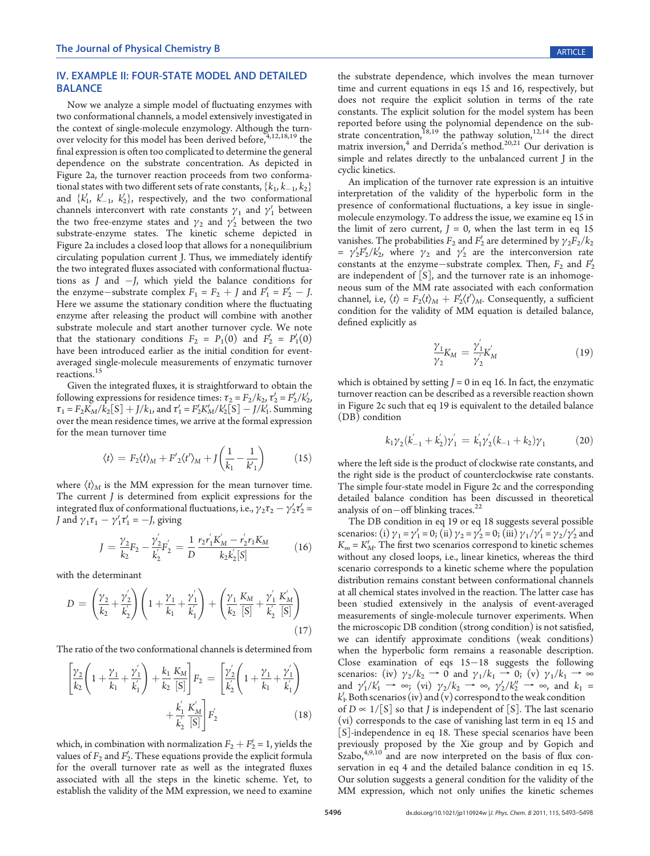# IV. EXAMPLE II: FOUR-STATE MODEL AND DETAILED BALANCE

Now we analyze a simple model of fluctuating enzymes with two conformational channels, a model extensively investigated in the context of single-molecule enzymology. Although the turnover velocity for this model has been derived before,  $4,12,18,19$  the final expression is often too complicated to determine the general dependence on the substrate concentration. As depicted in Figure 2a, the turnover reaction proceeds from two conformational states with two different sets of rate constants,  $\{k_1, k_1, k_2\}$ and  $\{k'_1, k'_{-1}, k'_2\}$ , respectively, and the two conformational channels interconvert with rate constants  $\gamma_1$  and  $\gamma'_1$  between the two free-enzyme states and  $\gamma_2$  and  $\gamma_2'$  between the two substrate-enzyme states. The kinetic scheme depicted in Figure 2a includes a closed loop that allows for a nonequilibrium circulating population current J. Thus, we immediately identify the two integrated fluxes associated with conformational fluctuations as  $J$  and  $-J$ , which yield the balance conditions for the enzyme-substrate complex  $F_1 = F_2 + J$  and  $F_1' = F_2' - J$ . Here we assume the stationary condition where the fluctuating enzyme after releasing the product will combine with another substrate molecule and start another turnover cycle. We note that the stationary conditions  $F_2 = P_1(0)$  and  $F'_2 = P'_1(0)$ have been introduced earlier as the initial condition for eventaveraged single-molecule measurements of enzymatic turnover reactions.<sup>15</sup>

Given the integrated fluxes, it is straightforward to obtain the following expressions for residence times:  $\tau_2 = F_2/k_2$ ,  $\tau'_2 = F'_2/k'_2$ ,  $\tau_1 = F_2 K_M / k_2$ [S] + J/k<sub>1</sub>, and  $\tau_1' = F_2' K_M' / k_2'$ [S] - J/ $\tilde{k}_1'$ . Summing over the mean residence times, we arrive at the formal expression for the mean turnover time

$$
\langle t \rangle = F_2 \langle t \rangle_M + F'_2 \langle t' \rangle_M + J \left( \frac{1}{k_1} - \frac{1}{k'_1} \right) \tag{15}
$$

where  $\langle t \rangle_M$  is the MM expression for the mean turnover time. The current J is determined from explicit expressions for the integrated flux of conformational fluctuations, i.e.,  $\gamma_2 \tau_2 - \gamma_2' \tau_2' =$ *J* and  $\gamma_1 \tau_1 - \gamma_1' \tau_1' = -J$ , giving

$$
J = \frac{\gamma_2}{k_2} F_2 - \frac{\gamma_2'}{k_2'} F_2' = \frac{1}{D} \frac{r_2 r_1' K_M' - r_2' r_1 K_M}{k_2 k_2' [S]}
$$
(16)

with the determinant

$$
D = \left(\frac{\gamma_2}{k_2} + \frac{\gamma_2'}{k_2'}\right) \left(1 + \frac{\gamma_1}{k_1} + \frac{\gamma_1'}{k_1'}\right) + \left(\frac{\gamma_1}{k_2} \frac{K_M}{[S]} + \frac{\gamma_1'}{k_2'} \frac{K_M'}{[S]}\right) \tag{17}
$$

The ratio of the two conformational channels is determined from

$$
\left[\frac{\gamma_2}{k_2}\left(1+\frac{\gamma_1}{k_1}+\frac{\gamma_1'}{k_1'}\right)+\frac{k_1}{k_2}\frac{K_M}{[S]}\right]F_2 = \left[\frac{\gamma_2'}{k_2'}\left(1+\frac{\gamma_1}{k_1}+\frac{\gamma_1'}{k_1'}\right) + \frac{k_1'}{k_2'}\frac{K_M}{[S]}\right]F_2' \tag{18}
$$

which, in combination with normalization  $F_2 + F_2' = 1$ , yields the values of  $F_2$  and  $F_2'$ . These equations provide the explicit formula for the overall turnover rate as well as the integrated fluxes associated with all the steps in the kinetic scheme. Yet, to establish the validity of the MM expression, we need to examine

the substrate dependence, which involves the mean turnover time and current equations in eqs 15 and 16, respectively, but does not require the explicit solution in terms of the rate constants. The explicit solution for the model system has been reported before using the polynomial dependence on the substrate concentration,  $18,19$  the pathway solution,  $12,14$  the direct matrix inversion,<sup>4</sup> and Derrida's method.<sup>20,21</sup> Our derivation is simple and relates directly to the unbalanced current J in the cyclic kinetics.

An implication of the turnover rate expression is an intuitive interpretation of the validity of the hyperbolic form in the presence of conformational fluctuations, a key issue in singlemolecule enzymology. To address the issue, we examine eq 15 in the limit of zero current,  $J = 0$ , when the last term in eq 15 vanishes. The probabilities  $F_2$  and  $F_2'$  are determined by  $\gamma_2F_2/k_2$ =  $\gamma_2' F_2' / k_2'$ , where  $\gamma_2$  and  $\gamma_2'$  are the interconversion rate constants at the enzyme-substrate complex. Then,  $F_2$  and  $F_2'$ are independent of  $[S]$ , and the turnover rate is an inhomogeneous sum of the MM rate associated with each conformation channel, i.e,  $\langle t \rangle = F_2 \langle t \rangle_M + F_2' \langle t' \rangle_M$ . Consequently, a sufficient condition for the validity of MM equation is detailed balance, defined explicitly as

$$
\frac{\gamma_1}{\gamma_2} K_M = \frac{\gamma_1'}{\gamma_2'} K_M' \tag{19}
$$

which is obtained by setting  $J = 0$  in eq 16. In fact, the enzymatic turnover reaction can be described as a reversible reaction shown in Figure 2c such that eq 19 is equivalent to the detailed balance (DB) condition

$$
k_1 \gamma_2 (k'_{-1} + k'_2) \gamma'_1 = k'_1 \gamma'_2 (k_{-1} + k_2) \gamma_1 \tag{20}
$$

where the left side is the product of clockwise rate constants, and the right side is the product of counterclockwise rate constants. The simple four-state model in Figure 2c and the corresponding detailed balance condition has been discussed in theoretical analysis of on $-$ off blinking traces.<sup>22</sup>

The DB condition in eq 19 or eq 18 suggests several possible scenarios: (i)  $\gamma_1 = \gamma_1' = 0$ ; (ii)  $\gamma_2 = \gamma_2' = 0$ ; (iii)  $\gamma_1/\gamma_1' = \gamma_2/\gamma_2'$  and  $K_m = K_M'$ . The first two scenarios correspond to kinetic schemes without any closed loops, i.e., linear kinetics, whereas the third scenario corresponds to a kinetic scheme where the population distribution remains constant between conformational channels at all chemical states involved in the reaction. The latter case has been studied extensively in the analysis of event-averaged measurements of single-molecule turnover experiments. When the microscopic DB condition (strong condition) is not satisfied, we can identify approximate conditions (weak conditions) when the hyperbolic form remains a reasonable description. Close examination of eqs  $15-18$  suggests the following scenarios: (iv)  $\gamma_2/k_2 \rightarrow 0$  and  $\gamma_1/k_1 \rightarrow 0$ ; (v)  $\gamma_1/k_1 \rightarrow \infty$ and  $\gamma_1'/k_1' \rightarrow \infty$ ; (vi)  $\gamma_2/k_2 \rightarrow \infty$ ,  $\gamma_2'/k_2'' \rightarrow \infty$ , and  $k_1 = k'$ . Both scenarios (iv) and (v) correspond to the weak condition  $k'_1$ . Both scenarios (iv) and (v) correspond to the weak condition of  $D \propto 1/[S]$  so that *J* is independent of [S]. The last scenario (vi) corresponds to the case of vanishing last term in eq 15 and [S]-independence in eq 18. These special scenarios have been previously proposed by the Xie group and by Gopich and  $Szabo, <sup>4,9,10</sup>$  and are now interpreted on the basis of flux conservation in eq 4 and the detailed balance condition in eq 15. Our solution suggests a general condition for the validity of the MM expression, which not only unifies the kinetic schemes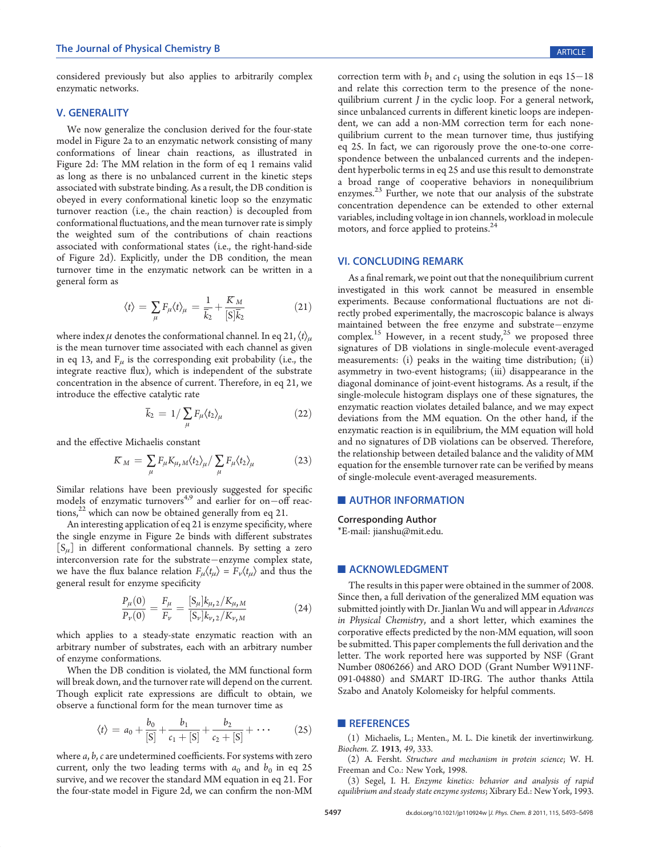considered previously but also applies to arbitrarily complex enzymatic networks.

## V. GENERALITY

We now generalize the conclusion derived for the four-state model in Figure 2a to an enzymatic network consisting of many conformations of linear chain reactions, as illustrated in Figure 2d: The MM relation in the form of eq 1 remains valid as long as there is no unbalanced current in the kinetic steps associated with substrate binding. As a result, the DB condition is obeyed in every conformational kinetic loop so the enzymatic turnover reaction (i.e., the chain reaction) is decoupled from conformational fluctuations, and the mean turnover rate is simply the weighted sum of the contributions of chain reactions associated with conformational states (i.e., the right-hand-side of Figure 2d). Explicitly, under the DB condition, the mean turnover time in the enzymatic network can be written in a general form as

$$
\langle t \rangle = \sum_{\mu} F_{\mu} \langle t \rangle_{\mu} = \frac{1}{\overline{k}_{2}} + \frac{K_{M}}{[S]\overline{k}_{2}} \tag{21}
$$

where index  $\mu$  denotes the conformational channel. In eq 21,  $\langle t \rangle_{\mu}$ is the mean turnover time associated with each channel as given in eq 13, and  $F_{\mu}$  is the corresponding exit probability (i.e., the integrate reactive flux), which is independent of the substrate concentration in the absence of current. Therefore, in eq 21, we introduce the effective catalytic rate

$$
\overline{k}_2 = 1 / \sum_{\mu} F_{\mu} \langle t_2 \rangle_{\mu} \tag{22}
$$

and the effective Michaelis constant

$$
K_M = \sum_{\mu} F_{\mu} K_{\mu} M \langle t_2 \rangle_{\mu} / \sum_{\mu} F_{\mu} \langle t_2 \rangle_{\mu}
$$
 (23)

Similar relations have been previously suggested for specific models of enzymatic turnovers<sup>4,9</sup> and earlier for on-off reactions, $^{22}$  which can now be obtained generally from eq 21.

An interesting application of eq 21 is enzyme specificity, where the single enzyme in Figure 2e binds with different substrates  $[S_{\mu}]$  in different conformational channels. By setting a zero interconversion rate for the substrate-enzyme complex state, we have the flux balance relation  $F_{\mu}\langle t_{\mu}\rangle = F_{\nu}\langle t_{\mu}\rangle$  and thus the general result for enzyme specificity

$$
\frac{P_{\mu}(0)}{P_{\nu}(0)} = \frac{F_{\mu}}{F_{\nu}} = \frac{[S_{\mu}]k_{\mu,2}/K_{\mu,M}}{[S_{\nu}]k_{\nu,2}/K_{\nu,M}}
$$
(24)

which applies to a steady-state enzymatic reaction with an arbitrary number of substrates, each with an arbitrary number of enzyme conformations.

When the DB condition is violated, the MM functional form will break down, and the turnover rate will depend on the current. Though explicit rate expressions are difficult to obtain, we observe a functional form for the mean turnover time as

$$
\langle t \rangle = a_0 + \frac{b_0}{[S]} + \frac{b_1}{c_1 + [S]} + \frac{b_2}{c_2 + [S]} + \cdots \qquad (25)
$$

where a, b, c are undetermined coefficients. For systems with zero current, only the two leading terms with  $a_0$  and  $b_0$  in eq 25 survive, and we recover the standard MM equation in eq 21. For the four-state model in Figure 2d, we can confirm the non-MM

correction term with  $b_1$  and  $c_1$  using the solution in eqs 15–18 and relate this correction term to the presence of the nonequilibrium current J in the cyclic loop. For a general network, since unbalanced currents in different kinetic loops are independent, we can add a non-MM correction term for each nonequilibrium current to the mean turnover time, thus justifying eq 25. In fact, we can rigorously prove the one-to-one correspondence between the unbalanced currents and the independent hyperbolic terms in eq 25 and use this result to demonstrate a broad range of cooperative behaviors in nonequilibrium enzymes.<sup>23</sup> Further, we note that our analysis of the substrate concentration dependence can be extended to other external variables, including voltage in ion channels, workload in molecule motors, and force applied to proteins.<sup>24</sup>

#### VI. CONCLUDING REMARK

As a final remark, we point out that the nonequilibrium current investigated in this work cannot be measured in ensemble experiments. Because conformational fluctuations are not directly probed experimentally, the macroscopic balance is always maintained between the free enzyme and substrate-enzyme complex.<sup>15</sup> However, in a recent study,<sup>25</sup> we proposed three signatures of DB violations in single-molecule event-averaged measurements: (i) peaks in the waiting time distribution; (ii) asymmetry in two-event histograms; (iii) disappearance in the diagonal dominance of joint-event histograms. As a result, if the single-molecule histogram displays one of these signatures, the enzymatic reaction violates detailed balance, and we may expect deviations from the MM equation. On the other hand, if the enzymatic reaction is in equilibrium, the MM equation will hold and no signatures of DB violations can be observed. Therefore, the relationship between detailed balance and the validity of MM equation for the ensemble turnover rate can be verified by means of single-molecule event-averaged measurements.

## **NEAUTHOR INFORMATION**

## Corresponding Author \*E-mail: jianshu@mit.edu.

# **ACKNOWLEDGMENT**

The results in this paper were obtained in the summer of 2008. Since then, a full derivation of the generalized MM equation was submitted jointly with Dr. Jianlan Wu and will appear in Advances in Physical Chemistry, and a short letter, which examines the corporative effects predicted by the non-MM equation, will soon be submitted. This paper complements the full derivation and the letter. The work reported here was supported by NSF (Grant Number 0806266) and ARO DOD (Grant Number W911NF-091-04880) and SMART ID-IRG. The author thanks Attila Szabo and Anatoly Kolomeisky for helpful comments.

#### **REFERENCES**

(1) Michaelis, L.; Menten., M. L. Die kinetik der invertinwirkung. Biochem. Z. 1913, 49, 333.

(2) A. Fersht. Structure and mechanism in protein science; W. H. Freeman and Co.: New York, 1998.

(3) Segel, I. H. Enzyme kinetics: behavior and analysis of rapid equilibrium and steady state enzyme systems; Xibrary Ed.: New York, 1993.